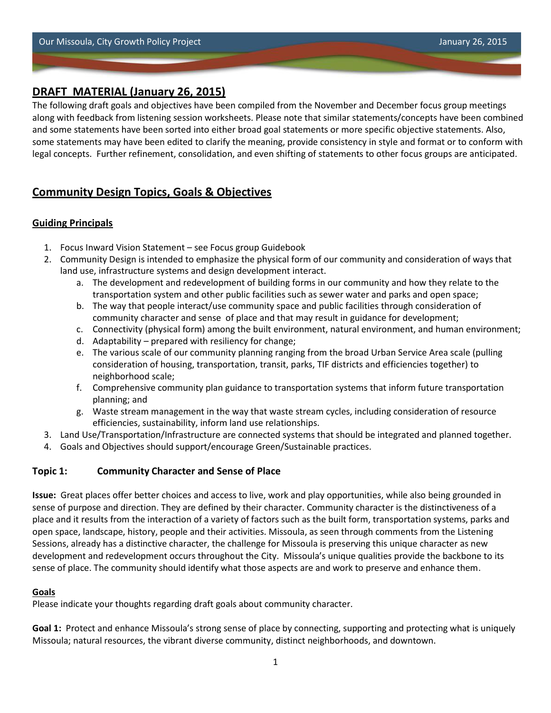# **DRAFT MATERIAL (January 26, 2015)**

The following draft goals and objectives have been compiled from the November and December focus group meetings along with feedback from listening session worksheets. Please note that similar statements/concepts have been combined and some statements have been sorted into either broad goal statements or more specific objective statements. Also, some statements may have been edited to clarify the meaning, provide consistency in style and format or to conform with legal concepts. Further refinement, consolidation, and even shifting of statements to other focus groups are anticipated.

# **Community Design Topics, Goals & Objectives**

### **Guiding Principals**

- 1. Focus Inward Vision Statement see Focus group Guidebook
- 2. Community Design is intended to emphasize the physical form of our community and consideration of ways that land use, infrastructure systems and design development interact.
	- a. The development and redevelopment of building forms in our community and how they relate to the transportation system and other public facilities such as sewer water and parks and open space;
	- b. The way that people interact/use community space and public facilities through consideration of community character and sense of place and that may result in guidance for development;
	- c. Connectivity (physical form) among the built environment, natural environment, and human environment;
	- d. Adaptability prepared with resiliency for change;
	- e. The various scale of our community planning ranging from the broad Urban Service Area scale (pulling consideration of housing, transportation, transit, parks, TIF districts and efficiencies together) to neighborhood scale;
	- f. Comprehensive community plan guidance to transportation systems that inform future transportation planning; and
	- g. Waste stream management in the way that waste stream cycles, including consideration of resource efficiencies, sustainability, inform land use relationships.
- 3. Land Use/Transportation/Infrastructure are connected systems that should be integrated and planned together.
- 4. Goals and Objectives should support/encourage Green/Sustainable practices.

# **Topic 1: Community Character and Sense of Place**

**Issue:** Great places offer better choices and access to live, work and play opportunities, while also being grounded in sense of purpose and direction. They are defined by their character. Community character is the distinctiveness of a place and it results from the interaction of a variety of factors such as the built form, transportation systems, parks and open space, landscape, history, people and their activities. Missoula, as seen through comments from the Listening Sessions, already has a distinctive character, the challenge for Missoula is preserving this unique character as new development and redevelopment occurs throughout the City. Missoula's unique qualities provide the backbone to its sense of place. The community should identify what those aspects are and work to preserve and enhance them.

### **Goals**

Please indicate your thoughts regarding draft goals about community character.

**Goal 1:** Protect and enhance Missoula's strong sense of place by connecting, supporting and protecting what is uniquely Missoula; natural resources, the vibrant diverse community, distinct neighborhoods, and downtown.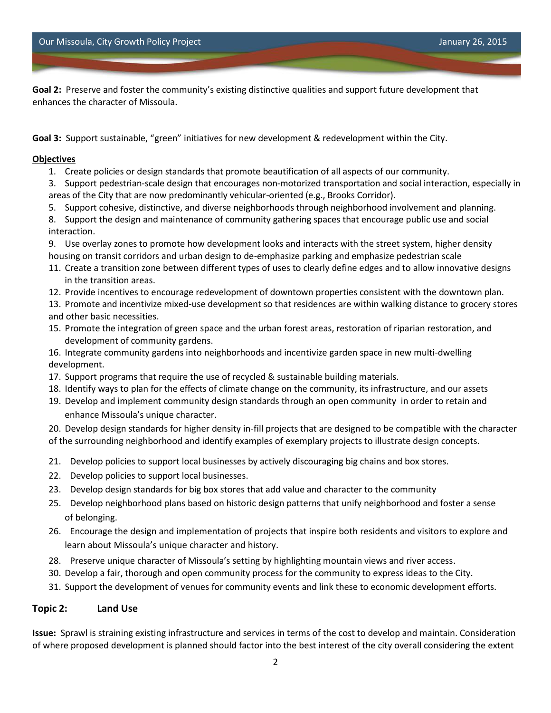**Goal 2:** Preserve and foster the community's existing distinctive qualities and support future development that enhances the character of Missoula.

**Goal 3:** Support sustainable, "green" initiatives for new development & redevelopment within the City.

#### **Objectives**

- 1. Create policies or design standards that promote beautification of all aspects of our community.
- 3. Support pedestrian-scale design that encourages non-motorized transportation and social interaction, especially in areas of the City that are now predominantly vehicular-oriented (e.g., Brooks Corridor).
- 5. Support cohesive, distinctive, and diverse neighborhoods through neighborhood involvement and planning.
- 8. Support the design and maintenance of community gathering spaces that encourage public use and social interaction.
- 9. Use overlay zones to promote how development looks and interacts with the street system, higher density housing on transit corridors and urban design to de-emphasize parking and emphasize pedestrian scale
- 11. Create a transition zone between different types of uses to clearly define edges and to allow innovative designs in the transition areas.
- 12. Provide incentives to encourage redevelopment of downtown properties consistent with the downtown plan.
- 13. Promote and incentivize mixed-use development so that residences are within walking distance to grocery stores and other basic necessities.
- 15. Promote the integration of green space and the urban forest areas, restoration of riparian restoration, and development of community gardens.
- 16. Integrate community gardens into neighborhoods and incentivize garden space in new multi-dwelling development.
- 17. Support programs that require the use of recycled & sustainable building materials.
- 18. Identify ways to plan for the effects of climate change on the community, its infrastructure, and our assets
- 19. Develop and implement community design standards through an open community in order to retain and enhance Missoula's unique character.
- 20. Develop design standards for higher density in-fill projects that are designed to be compatible with the character of the surrounding neighborhood and identify examples of exemplary projects to illustrate design concepts.
- 21. Develop policies to support local businesses by actively discouraging big chains and box stores.
- 22. Develop policies to support local businesses.
- 23. Develop design standards for big box stores that add value and character to the community
- 25. Develop neighborhood plans based on historic design patterns that unify neighborhood and foster a sense of belonging.
- 26. Encourage the design and implementation of projects that inspire both residents and visitors to explore and learn about Missoula's unique character and history.
- 28. Preserve unique character of Missoula's setting by highlighting mountain views and river access.
- 30. Develop a fair, thorough and open community process for the community to express ideas to the City.
- 31. Support the development of venues for community events and link these to economic development efforts.

### **Topic 2: Land Use**

**Issue:** Sprawl is straining existing infrastructure and services in terms of the cost to develop and maintain. Consideration of where proposed development is planned should factor into the best interest of the city overall considering the extent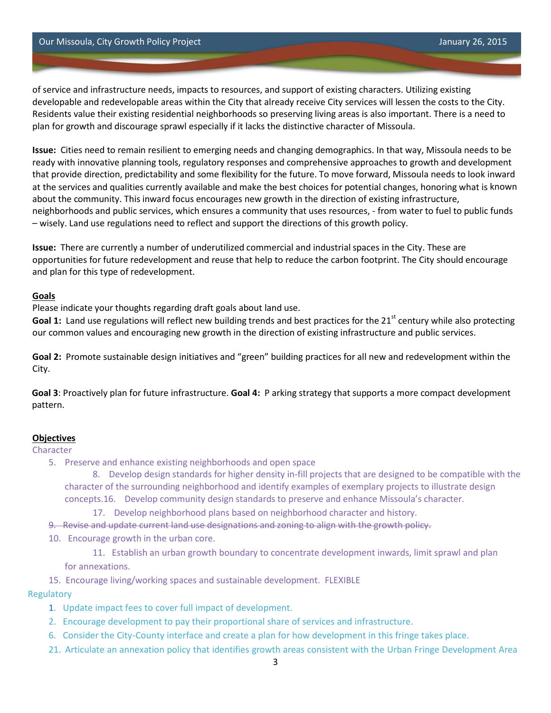of service and infrastructure needs, impacts to resources, and support of existing characters. Utilizing existing developable and redevelopable areas within the City that already receive City services will lessen the costs to the City. Residents value their existing residential neighborhoods so preserving living areas is also important. There is a need to plan for growth and discourage sprawl especially if it lacks the distinctive character of Missoula.

**Issue:** Cities need to remain resilient to emerging needs and changing demographics. In that way, Missoula needs to be ready with innovative planning tools, regulatory responses and comprehensive approaches to growth and development that provide direction, predictability and some flexibility for the future. To move forward, Missoula needs to look inward at the services and qualities currently available and make the best choices for potential changes, honoring what is known about the community. This inward focus encourages new growth in the direction of existing infrastructure, neighborhoods and public services, which ensures a community that uses resources, - from water to fuel to public funds – wisely. Land use regulations need to reflect and support the directions of this growth policy.

**Issue:** There are currently a number of underutilized commercial and industrial spaces in the City. These are opportunities for future redevelopment and reuse that help to reduce the carbon footprint. The City should encourage and plan for this type of redevelopment.

#### **Goals**

Please indicate your thoughts regarding draft goals about land use.

Goal 1: Land use regulations will reflect new building trends and best practices for the 21<sup>st</sup> century while also protecting our common values and encouraging new growth in the direction of existing infrastructure and public services.

**Goal 2:** Promote sustainable design initiatives and "green" building practices for all new and redevelopment within the City.

**Goal 3**: Proactively plan for future infrastructure. **Goal 4:** P arking strategy that supports a more compact development pattern.

#### **Objectives**

#### Character

5. Preserve and enhance existing neighborhoods and open space

8. Develop design standards for higher density in-fill projects that are designed to be compatible with the character of the surrounding neighborhood and identify examples of exemplary projects to illustrate design concepts.16. Develop community design standards to preserve and enhance Missoula's character.

17. Develop neighborhood plans based on neighborhood character and history.

9. Revise and update current land use designations and zoning to align with the growth policy.

10. Encourage growth in the urban core.

11. Establish an urban growth boundary to concentrate development inwards, limit sprawl and plan for annexations.

15. Encourage living/working spaces and sustainable development. FLEXIBLE

#### **Regulatory**

- 1. Update impact fees to cover full impact of development.
- 2. Encourage development to pay their proportional share of services and infrastructure.
- 6. Consider the City-County interface and create a plan for how development in this fringe takes place.
- 21. Articulate an annexation policy that identifies growth areas consistent with the Urban Fringe Development Area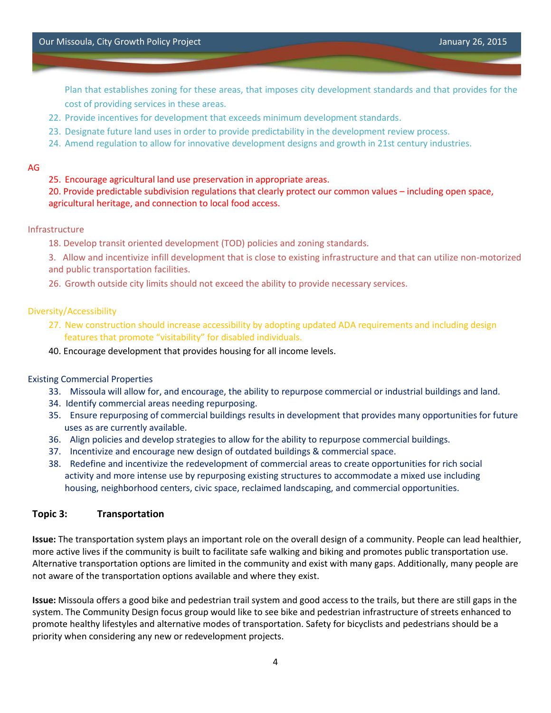Plan that establishes zoning for these areas, that imposes city development standards and that provides for the cost of providing services in these areas.

- 22. Provide incentives for development that exceeds minimum development standards.
- 23. Designate future land uses in order to provide predictability in the development review process.
- 24. Amend regulation to allow for innovative development designs and growth in 21st century industries.

#### AG

#### 25. Encourage agricultural land use preservation in appropriate areas.

20. Provide predictable subdivision regulations that clearly protect our common values – including open space, agricultural heritage, and connection to local food access.

#### Infrastructure

18. Develop transit oriented development (TOD) policies and zoning standards.

3. Allow and incentivize infill development that is close to existing infrastructure and that can utilize non-motorized and public transportation facilities.

26. Growth outside city limits should not exceed the ability to provide necessary services.

#### Diversity/Accessibility

- 27. New construction should increase accessibility by adopting updated ADA requirements and including design features that promote "visitability" for disabled individuals.
- 40. Encourage development that provides housing for all income levels.

#### Existing Commercial Properties

- 33. Missoula will allow for, and encourage, the ability to repurpose commercial or industrial buildings and land.
- 34. Identify commercial areas needing repurposing.
- 35. Ensure repurposing of commercial buildings results in development that provides many opportunities for future uses as are currently available.
- 36. Align policies and develop strategies to allow for the ability to repurpose commercial buildings.
- 37. Incentivize and encourage new design of outdated buildings & commercial space.
- 38. Redefine and incentivize the redevelopment of commercial areas to create opportunities for rich social activity and more intense use by repurposing existing structures to accommodate a mixed use including housing, neighborhood centers, civic space, reclaimed landscaping, and commercial opportunities.

#### **Topic 3: Transportation**

**Issue:** The transportation system plays an important role on the overall design of a community. People can lead healthier, more active lives if the community is built to facilitate safe walking and biking and promotes public transportation use. Alternative transportation options are limited in the community and exist with many gaps. Additionally, many people are not aware of the transportation options available and where they exist.

**Issue:** Missoula offers a good bike and pedestrian trail system and good access to the trails, but there are still gaps in the system. The Community Design focus group would like to see bike and pedestrian infrastructure of streets enhanced to promote healthy lifestyles and alternative modes of transportation. Safety for bicyclists and pedestrians should be a priority when considering any new or redevelopment projects.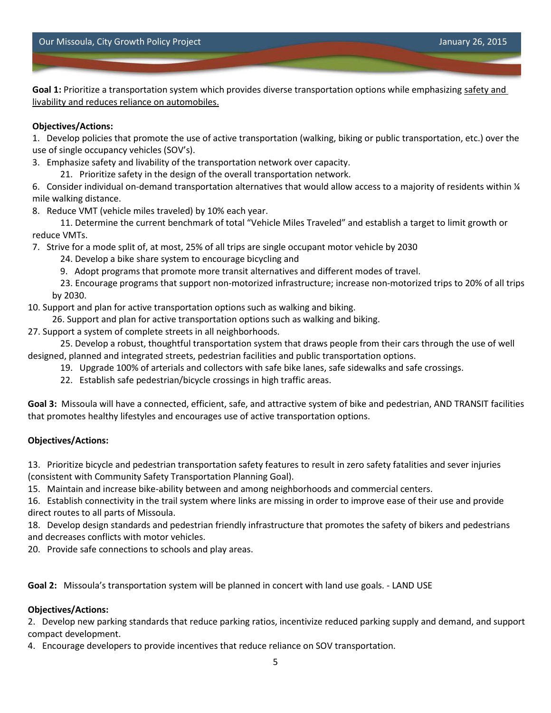**Goal 1:** Prioritize a transportation system which provides diverse transportation options while emphasizing safety and livability and reduces reliance on automobiles.

### **Objectives/Actions:**

1. Develop policies that promote the use of active transportation (walking, biking or public transportation, etc.) over the use of single occupancy vehicles (SOV's).

3. Emphasize safety and livability of the transportation network over capacity.

21. Prioritize safety in the design of the overall transportation network.

6. Consider individual on-demand transportation alternatives that would allow access to a majority of residents within  $\frac{1}{4}$ mile walking distance.

8. Reduce VMT (vehicle miles traveled) by 10% each year.

11. Determine the current benchmark of total "Vehicle Miles Traveled" and establish a target to limit growth or reduce VMTs.

7. Strive for a mode split of, at most, 25% of all trips are single occupant motor vehicle by 2030

24. Develop a bike share system to encourage bicycling and

9. Adopt programs that promote more transit alternatives and different modes of travel.

23. Encourage programs that support non-motorized infrastructure; increase non-motorized trips to 20% of all trips by 2030.

10. Support and plan for active transportation options such as walking and biking.

26. Support and plan for active transportation options such as walking and biking.

27. Support a system of complete streets in all neighborhoods.

25. Develop a robust, thoughtful transportation system that draws people from their cars through the use of well designed, planned and integrated streets, pedestrian facilities and public transportation options.

19. Upgrade 100% of arterials and collectors with safe bike lanes, safe sidewalks and safe crossings.

22. Establish safe pedestrian/bicycle crossings in high traffic areas.

**Goal 3:** Missoula will have a connected, efficient, safe, and attractive system of bike and pedestrian, AND TRANSIT facilities that promotes healthy lifestyles and encourages use of active transportation options.

### **Objectives/Actions:**

13. Prioritize bicycle and pedestrian transportation safety features to result in zero safety fatalities and sever injuries (consistent with Community Safety Transportation Planning Goal).

15. Maintain and increase bike-ability between and among neighborhoods and commercial centers.

16. Establish connectivity in the trail system where links are missing in order to improve ease of their use and provide direct routes to all parts of Missoula.

18. Develop design standards and pedestrian friendly infrastructure that promotes the safety of bikers and pedestrians and decreases conflicts with motor vehicles.

20. Provide safe connections to schools and play areas.

**Goal 2:** Missoula's transportation system will be planned in concert with land use goals. - LAND USE

### **Objectives/Actions:**

2. Develop new parking standards that reduce parking ratios, incentivize reduced parking supply and demand, and support compact development.

4. Encourage developers to provide incentives that reduce reliance on SOV transportation.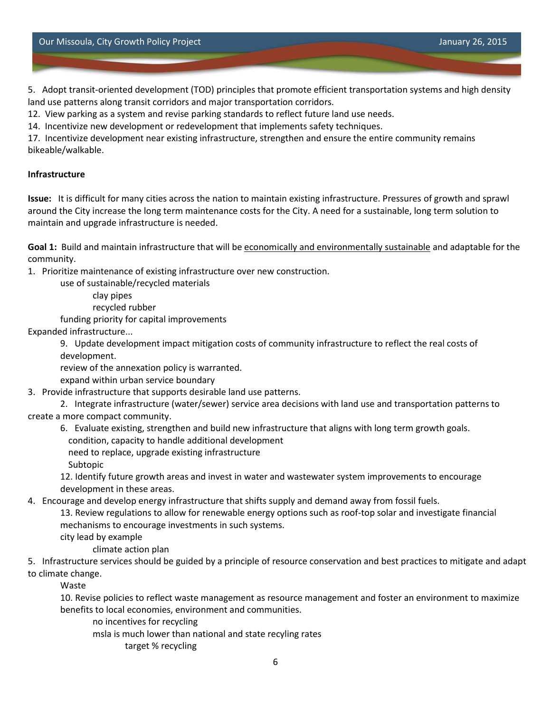Our Missoula, City Growth Policy Project January 26, 2015

5. Adopt transit-oriented development (TOD) principles that promote efficient transportation systems and high density land use patterns along transit corridors and major transportation corridors.

12. View parking as a system and revise parking standards to reflect future land use needs.

14. Incentivize new development or redevelopment that implements safety techniques.

17. Incentivize development near existing infrastructure, strengthen and ensure the entire community remains bikeable/walkable.

#### **Infrastructure**

**Issue:** It is difficult for many cities across the nation to maintain existing infrastructure. Pressures of growth and sprawl around the City increase the long term maintenance costs for the City. A need for a sustainable, long term solution to maintain and upgrade infrastructure is needed.

**Goal 1:** Build and maintain infrastructure that will be economically and environmentally sustainable and adaptable for the community.

1. Prioritize maintenance of existing infrastructure over new construction.

use of sustainable/recycled materials

clay pipes

recycled rubber

funding priority for capital improvements

Expanded infrastructure...

9. Update development impact mitigation costs of community infrastructure to reflect the real costs of development.

review of the annexation policy is warranted.

expand within urban service boundary

3. Provide infrastructure that supports desirable land use patterns.

2. Integrate infrastructure (water/sewer) service area decisions with land use and transportation patterns to create a more compact community.

6. Evaluate existing, strengthen and build new infrastructure that aligns with long term growth goals.

condition, capacity to handle additional development

need to replace, upgrade existing infrastructure

Subtopic

12. Identify future growth areas and invest in water and wastewater system improvements to encourage development in these areas.

4. Encourage and develop energy infrastructure that shifts supply and demand away from fossil fuels.

13. Review regulations to allow for renewable energy options such as roof-top solar and investigate financial mechanisms to encourage investments in such systems.

city lead by example

climate action plan

5. Infrastructure services should be guided by a principle of resource conservation and best practices to mitigate and adapt to climate change.

Waste

10. Revise policies to reflect waste management as resource management and foster an environment to maximize benefits to local economies, environment and communities.

no incentives for recycling

msla is much lower than national and state recyling rates

target % recycling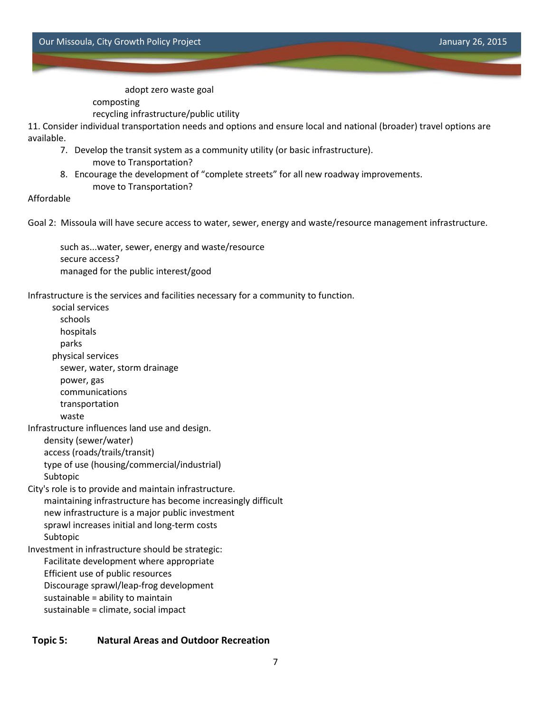adopt zero waste goal

composting

recycling infrastructure/public utility

11. Consider individual transportation needs and options and ensure local and national (broader) travel options are available.

- 7. Develop the transit system as a community utility (or basic infrastructure). move to Transportation?
- 8. Encourage the development of "complete streets" for all new roadway improvements. move to Transportation?

### Affordable

Goal 2: Missoula will have secure access to water, sewer, energy and waste/resource management infrastructure.

such as...water, sewer, energy and waste/resource secure access? managed for the public interest/good

Infrastructure is the services and facilities necessary for a community to function.

social services schools hospitals parks physical services sewer, water, storm drainage power, gas communications transportation waste Infrastructure influences land use and design. density (sewer/water) access (roads/trails/transit) type of use (housing/commercial/industrial) Subtopic City's role is to provide and maintain infrastructure. maintaining infrastructure has become increasingly difficult new infrastructure is a major public investment sprawl increases initial and long-term costs Subtopic Investment in infrastructure should be strategic: Facilitate development where appropriate Efficient use of public resources Discourage sprawl/leap-frog development sustainable = ability to maintain sustainable = climate, social impact

#### **Topic 5: Natural Areas and Outdoor Recreation**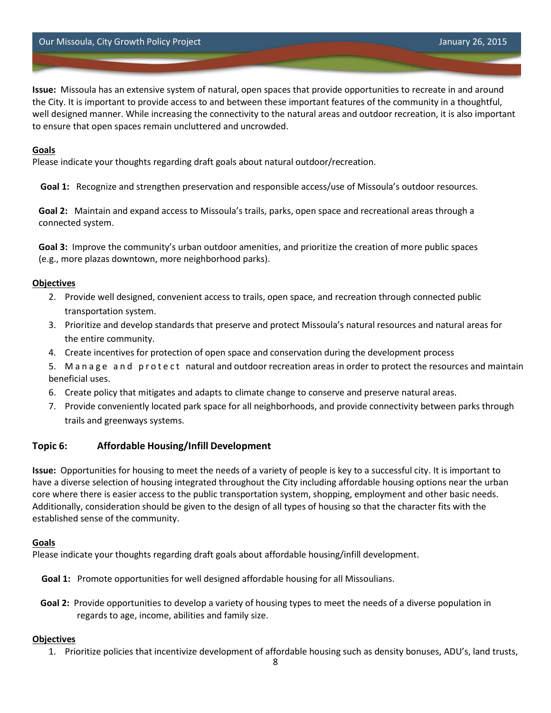**Issue:** Missoula has an extensive system of natural, open spaces that provide opportunities to recreate in and around the City. It is important to provide access to and between these important features of the community in a thoughtful, well designed manner. While increasing the connectivity to the natural areas and outdoor recreation, it is also important to ensure that open spaces remain uncluttered and uncrowded.

### **Goals**

Please indicate your thoughts regarding draft goals about natural outdoor/recreation.

**Goal 1:** Recognize and strengthen preservation and responsible access/use of Missoula's outdoor resources.

**Goal 2:** Maintain and expand access to Missoula's trails, parks, open space and recreational areas through a connected system.

**Goal 3:** Improve the community's urban outdoor amenities, and prioritize the creation of more public spaces (e.g., more plazas downtown, more neighborhood parks).

### **Objectives**

- 2. Provide well designed, convenient access to trails, open space, and recreation through connected public transportation system.
- 3. Prioritize and develop standards that preserve and protect Missoula's natural resources and natural areas for the entire community.
- 4. Create incentives for protection of open space and conservation during the development process
- 5. Manage and protect natural and outdoor recreation areas in order to protect the resources and maintain beneficial uses.
- 6. Create policy that mitigates and adapts to climate change to conserve and preserve natural areas.
- 7. Provide conveniently located park space for all neighborhoods, and provide connectivity between parks through trails and greenways systems.

# **Topic 6: Affordable Housing/Infill Development**

**Issue:** Opportunities for housing to meet the needs of a variety of people is key to a successful city. It is important to have a diverse selection of housing integrated throughout the City including affordable housing options near the urban core where there is easier access to the public transportation system, shopping, employment and other basic needs. Additionally, consideration should be given to the design of all types of housing so that the character fits with the established sense of the community.

### **Goals**

Please indicate your thoughts regarding draft goals about affordable housing/infill development.

**Goal 1:** Promote opportunities for well designed affordable housing for all Missoulians.

**Goal 2:** Provide opportunities to develop a variety of housing types to meet the needs of a diverse population in regards to age, income, abilities and family size.

### **Objectives**

1. Prioritize policies that incentivize development of affordable housing such as density bonuses, ADU's, land trusts,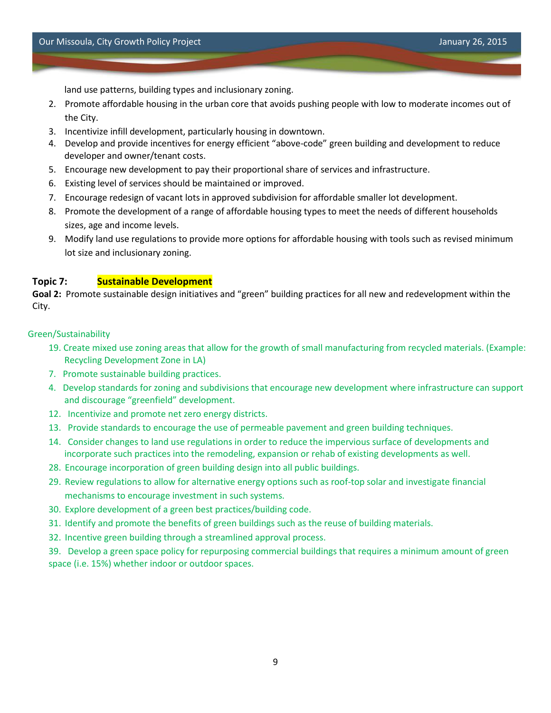land use patterns, building types and inclusionary zoning.

- 2. Promote affordable housing in the urban core that avoids pushing people with low to moderate incomes out of the City.
- 3. Incentivize infill development, particularly housing in downtown.
- 4. Develop and provide incentives for energy efficient "above-code" green building and development to reduce developer and owner/tenant costs.
- 5. Encourage new development to pay their proportional share of services and infrastructure.
- 6. Existing level of services should be maintained or improved.
- 7. Encourage redesign of vacant lots in approved subdivision for affordable smaller lot development.
- 8. Promote the development of a range of affordable housing types to meet the needs of different households sizes, age and income levels.
- 9. Modify land use regulations to provide more options for affordable housing with tools such as revised minimum lot size and inclusionary zoning.

### **Topic 7: Sustainable Development**

**Goal 2:** Promote sustainable design initiatives and "green" building practices for all new and redevelopment within the City.

#### Green/Sustainability

- 19. Create mixed use zoning areas that allow for the growth of small manufacturing from recycled materials. (Example: Recycling Development Zone in LA)
- 7. Promote sustainable building practices.
- 4. Develop standards for zoning and subdivisions that encourage new development where infrastructure can support and discourage "greenfield" development.
- 12. Incentivize and promote net zero energy districts.
- 13. Provide standards to encourage the use of permeable pavement and green building techniques.
- 14. Consider changes to land use regulations in order to reduce the impervious surface of developments and incorporate such practices into the remodeling, expansion or rehab of existing developments as well.
- 28. Encourage incorporation of green building design into all public buildings.
- 29. Review regulations to allow for alternative energy options such as roof-top solar and investigate financial mechanisms to encourage investment in such systems.
- 30. Explore development of a green best practices/building code.
- 31. Identify and promote the benefits of green buildings such as the reuse of building materials.
- 32. Incentive green building through a streamlined approval process.

39. Develop a green space policy for repurposing commercial buildings that requires a minimum amount of green space (i.e. 15%) whether indoor or outdoor spaces.